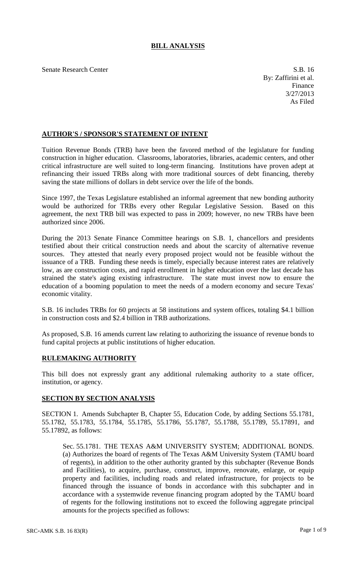## **BILL ANALYSIS**

Senate Research Center S.B. 16

By: Zaffirini et al. Finance 3/27/2013 As Filed

## **AUTHOR'S / SPONSOR'S STATEMENT OF INTENT**

Tuition Revenue Bonds (TRB) have been the favored method of the legislature for funding construction in higher education. Classrooms, laboratories, libraries, academic centers, and other critical infrastructure are well suited to long-term financing. Institutions have proven adept at refinancing their issued TRBs along with more traditional sources of debt financing, thereby saving the state millions of dollars in debt service over the life of the bonds.

Since 1997, the Texas Legislature established an informal agreement that new bonding authority would be authorized for TRBs every other Regular Legislative Session. Based on this agreement, the next TRB bill was expected to pass in 2009; however, no new TRBs have been authorized since 2006.

During the 2013 Senate Finance Committee hearings on S.B. 1, chancellors and presidents testified about their critical construction needs and about the scarcity of alternative revenue sources. They attested that nearly every proposed project would not be feasible without the issuance of a TRB. Funding these needs is timely, especially because interest rates are relatively low, as are construction costs, and rapid enrollment in higher education over the last decade has strained the state's aging existing infrastructure. The state must invest now to ensure the education of a booming population to meet the needs of a modern economy and secure Texas' economic vitality.

S.B. 16 includes TRBs for 60 projects at 58 institutions and system offices, totaling \$4.1 billion in construction costs and \$2.4 billion in TRB authorizations.

As proposed, S.B. 16 amends current law relating to authorizing the issuance of revenue bonds to fund capital projects at public institutions of higher education.

## **RULEMAKING AUTHORITY**

This bill does not expressly grant any additional rulemaking authority to a state officer, institution, or agency.

## **SECTION BY SECTION ANALYSIS**

SECTION 1. Amends Subchapter B, Chapter 55, Education Code, by adding Sections 55.1781, 55.1782, 55.1783, 55.1784, 55.1785, 55.1786, 55.1787, 55.1788, 55.1789, 55.17891, and 55.17892, as follows:

Sec. 55.1781. THE TEXAS A&M UNIVERSITY SYSTEM; ADDITIONAL BONDS. (a) Authorizes the board of regents of The Texas A&M University System (TAMU board of regents), in addition to the other authority granted by this subchapter (Revenue Bonds and Facilities), to acquire, purchase, construct, improve, renovate, enlarge, or equip property and facilities, including roads and related infrastructure, for projects to be financed through the issuance of bonds in accordance with this subchapter and in accordance with a systemwide revenue financing program adopted by the TAMU board of regents for the following institutions not to exceed the following aggregate principal amounts for the projects specified as follows: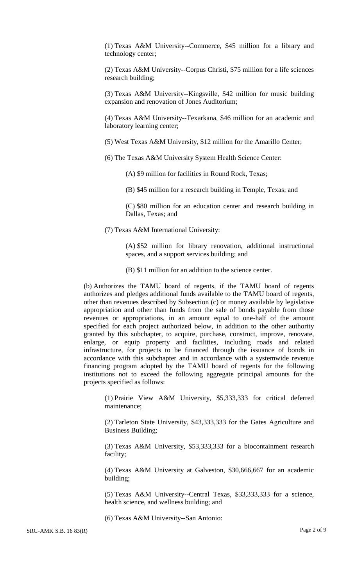(1) Texas A&M University--Commerce, \$45 million for a library and technology center;

(2) Texas A&M University--Corpus Christi, \$75 million for a life sciences research building;

(3) Texas A&M University--Kingsville, \$42 million for music building expansion and renovation of Jones Auditorium;

(4) Texas A&M University--Texarkana, \$46 million for an academic and laboratory learning center;

(5) West Texas A&M University, \$12 million for the Amarillo Center;

(6) The Texas A&M University System Health Science Center:

(A) \$9 million for facilities in Round Rock, Texas;

(B) \$45 million for a research building in Temple, Texas; and

(C) \$80 million for an education center and research building in Dallas, Texas; and

(7) Texas A&M International University:

(A) \$52 million for library renovation, additional instructional spaces, and a support services building; and

(B) \$11 million for an addition to the science center.

(b) Authorizes the TAMU board of regents, if the TAMU board of regents authorizes and pledges additional funds available to the TAMU board of regents, other than revenues described by Subsection (c) or money available by legislative appropriation and other than funds from the sale of bonds payable from those revenues or appropriations, in an amount equal to one-half of the amount specified for each project authorized below, in addition to the other authority granted by this subchapter, to acquire, purchase, construct, improve, renovate, enlarge, or equip property and facilities, including roads and related infrastructure, for projects to be financed through the issuance of bonds in accordance with this subchapter and in accordance with a systemwide revenue financing program adopted by the TAMU board of regents for the following institutions not to exceed the following aggregate principal amounts for the projects specified as follows:

(1) Prairie View A&M University, \$5,333,333 for critical deferred maintenance;

(2) Tarleton State University, \$43,333,333 for the Gates Agriculture and Business Building;

(3) Texas A&M University, \$53,333,333 for a biocontainment research facility;

(4) Texas A&M University at Galveston, \$30,666,667 for an academic building;

(5) Texas A&M University--Central Texas, \$33,333,333 for a science, health science, and wellness building; and

(6) Texas A&M University--San Antonio: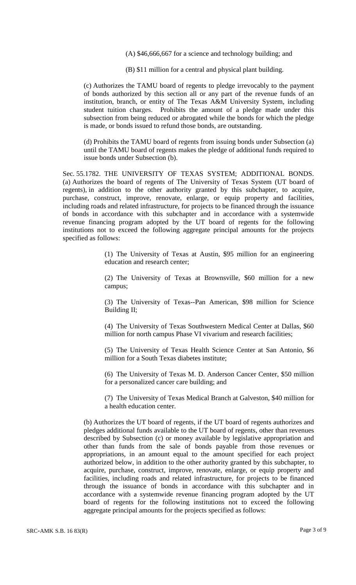(A) \$46,666,667 for a science and technology building; and

(B) \$11 million for a central and physical plant building.

(c) Authorizes the TAMU board of regents to pledge irrevocably to the payment of bonds authorized by this section all or any part of the revenue funds of an institution, branch, or entity of The Texas A&M University System, including student tuition charges. Prohibits the amount of a pledge made under this subsection from being reduced or abrogated while the bonds for which the pledge is made, or bonds issued to refund those bonds, are outstanding.

(d) Prohibits the TAMU board of regents from issuing bonds under Subsection (a) until the TAMU board of regents makes the pledge of additional funds required to issue bonds under Subsection (b).

Sec. 55.1782. THE UNIVERSITY OF TEXAS SYSTEM; ADDITIONAL BONDS. (a) Authorizes the board of regents of The University of Texas System (UT board of regents), in addition to the other authority granted by this subchapter, to acquire, purchase, construct, improve, renovate, enlarge, or equip property and facilities, including roads and related infrastructure, for projects to be financed through the issuance of bonds in accordance with this subchapter and in accordance with a systemwide revenue financing program adopted by the UT board of regents for the following institutions not to exceed the following aggregate principal amounts for the projects specified as follows:

> (1) The University of Texas at Austin, \$95 million for an engineering education and research center;

> (2) The University of Texas at Brownsville, \$60 million for a new campus;

> (3) The University of Texas--Pan American, \$98 million for Science Building II;

> (4) The University of Texas Southwestern Medical Center at Dallas, \$60 million for north campus Phase VI vivarium and research facilities;

> (5) The University of Texas Health Science Center at San Antonio, \$6 million for a South Texas diabetes institute;

> (6) The University of Texas M. D. Anderson Cancer Center, \$50 million for a personalized cancer care building; and

> (7) The University of Texas Medical Branch at Galveston, \$40 million for a health education center.

(b) Authorizes the UT board of regents, if the UT board of regents authorizes and pledges additional funds available to the UT board of regents, other than revenues described by Subsection (c) or money available by legislative appropriation and other than funds from the sale of bonds payable from those revenues or appropriations, in an amount equal to the amount specified for each project authorized below, in addition to the other authority granted by this subchapter, to acquire, purchase, construct, improve, renovate, enlarge, or equip property and facilities, including roads and related infrastructure, for projects to be financed through the issuance of bonds in accordance with this subchapter and in accordance with a systemwide revenue financing program adopted by the UT board of regents for the following institutions not to exceed the following aggregate principal amounts for the projects specified as follows: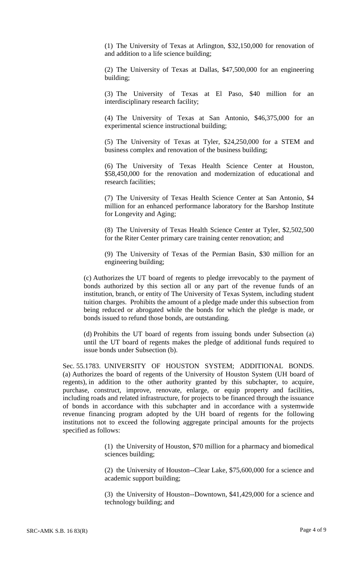(1) The University of Texas at Arlington, \$32,150,000 for renovation of and addition to a life science building;

(2) The University of Texas at Dallas, \$47,500,000 for an engineering building;

(3) The University of Texas at El Paso, \$40 million for an interdisciplinary research facility;

(4) The University of Texas at San Antonio, \$46,375,000 for an experimental science instructional building;

(5) The University of Texas at Tyler, \$24,250,000 for a STEM and business complex and renovation of the business building;

(6) The University of Texas Health Science Center at Houston, \$58,450,000 for the renovation and modernization of educational and research facilities;

(7) The University of Texas Health Science Center at San Antonio, \$4 million for an enhanced performance laboratory for the Barshop Institute for Longevity and Aging;

(8) The University of Texas Health Science Center at Tyler, \$2,502,500 for the Riter Center primary care training center renovation; and

(9) The University of Texas of the Permian Basin, \$30 million for an engineering building;

(c) Authorizes the UT board of regents to pledge irrevocably to the payment of bonds authorized by this section all or any part of the revenue funds of an institution, branch, or entity of The University of Texas System, including student tuition charges. Prohibits the amount of a pledge made under this subsection from being reduced or abrogated while the bonds for which the pledge is made, or bonds issued to refund those bonds, are outstanding.

(d) Prohibits the UT board of regents from issuing bonds under Subsection (a) until the UT board of regents makes the pledge of additional funds required to issue bonds under Subsection (b).

Sec. 55.1783. UNIVERSITY OF HOUSTON SYSTEM; ADDITIONAL BONDS. (a) Authorizes the board of regents of the University of Houston System (UH board of regents), in addition to the other authority granted by this subchapter, to acquire, purchase, construct, improve, renovate, enlarge, or equip property and facilities, including roads and related infrastructure, for projects to be financed through the issuance of bonds in accordance with this subchapter and in accordance with a systemwide revenue financing program adopted by the UH board of regents for the following institutions not to exceed the following aggregate principal amounts for the projects specified as follows:

> (1) the University of Houston, \$70 million for a pharmacy and biomedical sciences building;

> (2) the University of Houston--Clear Lake, \$75,600,000 for a science and academic support building;

> (3) the University of Houston--Downtown, \$41,429,000 for a science and technology building; and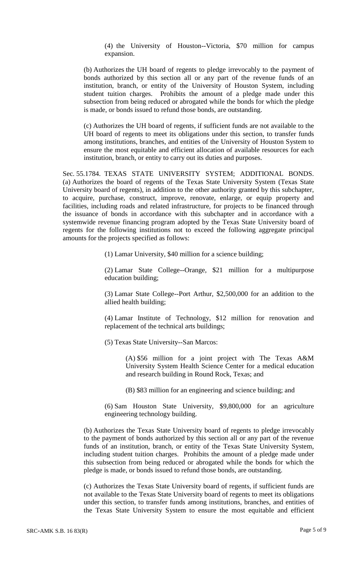(4) the University of Houston--Victoria, \$70 million for campus expansion.

(b) Authorizes the UH board of regents to pledge irrevocably to the payment of bonds authorized by this section all or any part of the revenue funds of an institution, branch, or entity of the University of Houston System, including student tuition charges. Prohibits the amount of a pledge made under this subsection from being reduced or abrogated while the bonds for which the pledge is made, or bonds issued to refund those bonds, are outstanding.

(c) Authorizes the UH board of regents, if sufficient funds are not available to the UH board of regents to meet its obligations under this section, to transfer funds among institutions, branches, and entities of the University of Houston System to ensure the most equitable and efficient allocation of available resources for each institution, branch, or entity to carry out its duties and purposes.

Sec. 55.1784. TEXAS STATE UNIVERSITY SYSTEM; ADDITIONAL BONDS. (a) Authorizes the board of regents of the Texas State University System (Texas State University board of regents), in addition to the other authority granted by this subchapter, to acquire, purchase, construct, improve, renovate, enlarge, or equip property and facilities, including roads and related infrastructure, for projects to be financed through the issuance of bonds in accordance with this subchapter and in accordance with a systemwide revenue financing program adopted by the Texas State University board of regents for the following institutions not to exceed the following aggregate principal amounts for the projects specified as follows:

(1) Lamar University, \$40 million for a science building;

(2) Lamar State College--Orange, \$21 million for a multipurpose education building;

(3) Lamar State College--Port Arthur, \$2,500,000 for an addition to the allied health building;

(4) Lamar Institute of Technology, \$12 million for renovation and replacement of the technical arts buildings;

(5) Texas State University--San Marcos:

(A) \$56 million for a joint project with The Texas A&M University System Health Science Center for a medical education and research building in Round Rock, Texas; and

(B) \$83 million for an engineering and science building; and

(6) Sam Houston State University, \$9,800,000 for an agriculture engineering technology building.

(b) Authorizes the Texas State University board of regents to pledge irrevocably to the payment of bonds authorized by this section all or any part of the revenue funds of an institution, branch, or entity of the Texas State University System, including student tuition charges. Prohibits the amount of a pledge made under this subsection from being reduced or abrogated while the bonds for which the pledge is made, or bonds issued to refund those bonds, are outstanding.

(c) Authorizes the Texas State University board of regents, if sufficient funds are not available to the Texas State University board of regents to meet its obligations under this section, to transfer funds among institutions, branches, and entities of the Texas State University System to ensure the most equitable and efficient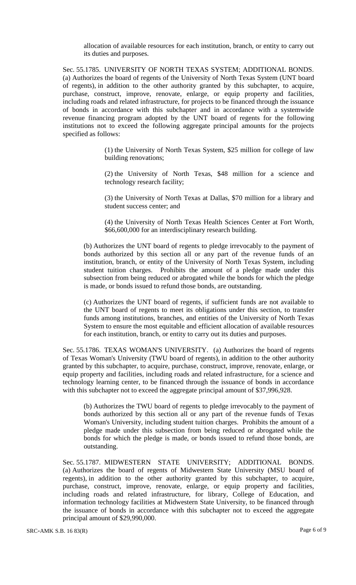allocation of available resources for each institution, branch, or entity to carry out its duties and purposes.

Sec. 55.1785. UNIVERSITY OF NORTH TEXAS SYSTEM; ADDITIONAL BONDS. (a) Authorizes the board of regents of the University of North Texas System (UNT board of regents), in addition to the other authority granted by this subchapter, to acquire, purchase, construct, improve, renovate, enlarge, or equip property and facilities, including roads and related infrastructure, for projects to be financed through the issuance of bonds in accordance with this subchapter and in accordance with a systemwide revenue financing program adopted by the UNT board of regents for the following institutions not to exceed the following aggregate principal amounts for the projects specified as follows:

> (1) the University of North Texas System, \$25 million for college of law building renovations;

> (2) the University of North Texas, \$48 million for a science and technology research facility;

> (3) the University of North Texas at Dallas, \$70 million for a library and student success center; and

> (4) the University of North Texas Health Sciences Center at Fort Worth, \$66,600,000 for an interdisciplinary research building.

(b) Authorizes the UNT board of regents to pledge irrevocably to the payment of bonds authorized by this section all or any part of the revenue funds of an institution, branch, or entity of the University of North Texas System, including student tuition charges. Prohibits the amount of a pledge made under this subsection from being reduced or abrogated while the bonds for which the pledge is made, or bonds issued to refund those bonds, are outstanding.

(c) Authorizes the UNT board of regents, if sufficient funds are not available to the UNT board of regents to meet its obligations under this section, to transfer funds among institutions, branches, and entities of the University of North Texas System to ensure the most equitable and efficient allocation of available resources for each institution, branch, or entity to carry out its duties and purposes.

Sec. 55.1786. TEXAS WOMAN'S UNIVERSITY. (a) Authorizes the board of regents of Texas Woman's University (TWU board of regents), in addition to the other authority granted by this subchapter, to acquire, purchase, construct, improve, renovate, enlarge, or equip property and facilities, including roads and related infrastructure, for a science and technology learning center, to be financed through the issuance of bonds in accordance with this subchapter not to exceed the aggregate principal amount of \$37,996,928.

(b) Authorizes the TWU board of regents to pledge irrevocably to the payment of bonds authorized by this section all or any part of the revenue funds of Texas Woman's University, including student tuition charges. Prohibits the amount of a pledge made under this subsection from being reduced or abrogated while the bonds for which the pledge is made, or bonds issued to refund those bonds, are outstanding.

Sec. 55.1787. MIDWESTERN STATE UNIVERSITY; ADDITIONAL BONDS. (a) Authorizes the board of regents of Midwestern State University (MSU board of regents), in addition to the other authority granted by this subchapter, to acquire, purchase, construct, improve, renovate, enlarge, or equip property and facilities, including roads and related infrastructure, for library, College of Education, and information technology facilities at Midwestern State University, to be financed through the issuance of bonds in accordance with this subchapter not to exceed the aggregate principal amount of \$29,990,000.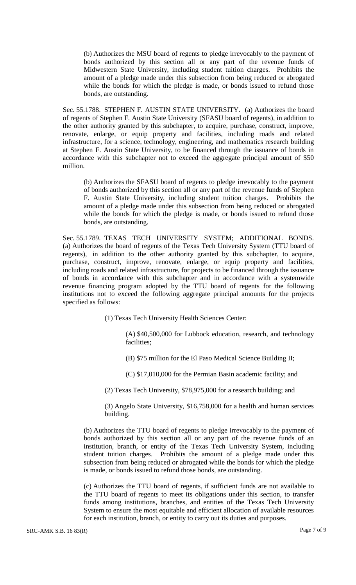(b) Authorizes the MSU board of regents to pledge irrevocably to the payment of bonds authorized by this section all or any part of the revenue funds of Midwestern State University, including student tuition charges. Prohibits the amount of a pledge made under this subsection from being reduced or abrogated while the bonds for which the pledge is made, or bonds issued to refund those bonds, are outstanding.

Sec. 55.1788. STEPHEN F. AUSTIN STATE UNIVERSITY. (a) Authorizes the board of regents of Stephen F. Austin State University (SFASU board of regents), in addition to the other authority granted by this subchapter, to acquire, purchase, construct, improve, renovate, enlarge, or equip property and facilities, including roads and related infrastructure, for a science, technology, engineering, and mathematics research building at Stephen F. Austin State University, to be financed through the issuance of bonds in accordance with this subchapter not to exceed the aggregate principal amount of \$50 million.

(b) Authorizes the SFASU board of regents to pledge irrevocably to the payment of bonds authorized by this section all or any part of the revenue funds of Stephen F. Austin State University, including student tuition charges. Prohibits the amount of a pledge made under this subsection from being reduced or abrogated while the bonds for which the pledge is made, or bonds issued to refund those bonds, are outstanding.

Sec. 55.1789. TEXAS TECH UNIVERSITY SYSTEM; ADDITIONAL BONDS. (a) Authorizes the board of regents of the Texas Tech University System (TTU board of regents), in addition to the other authority granted by this subchapter, to acquire, purchase, construct, improve, renovate, enlarge, or equip property and facilities, including roads and related infrastructure, for projects to be financed through the issuance of bonds in accordance with this subchapter and in accordance with a systemwide revenue financing program adopted by the TTU board of regents for the following institutions not to exceed the following aggregate principal amounts for the projects specified as follows:

(1) Texas Tech University Health Sciences Center:

(A) \$40,500,000 for Lubbock education, research, and technology facilities;

(B) \$75 million for the El Paso Medical Science Building II;

(C) \$17,010,000 for the Permian Basin academic facility; and

(2) Texas Tech University, \$78,975,000 for a research building; and

(3) Angelo State University, \$16,758,000 for a health and human services building.

(b) Authorizes the TTU board of regents to pledge irrevocably to the payment of bonds authorized by this section all or any part of the revenue funds of an institution, branch, or entity of the Texas Tech University System, including student tuition charges. Prohibits the amount of a pledge made under this subsection from being reduced or abrogated while the bonds for which the pledge is made, or bonds issued to refund those bonds, are outstanding.

(c) Authorizes the TTU board of regents, if sufficient funds are not available to the TTU board of regents to meet its obligations under this section, to transfer funds among institutions, branches, and entities of the Texas Tech University System to ensure the most equitable and efficient allocation of available resources for each institution, branch, or entity to carry out its duties and purposes.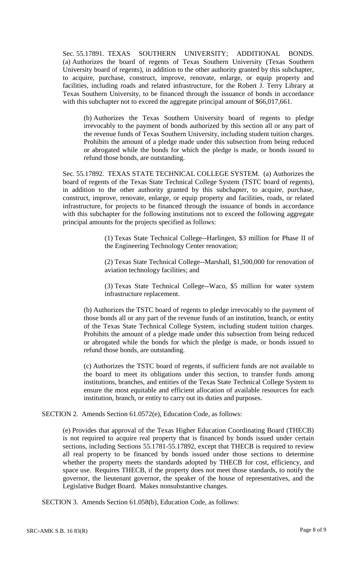Sec. 55.17891. TEXAS SOUTHERN UNIVERSITY; ADDITIONAL BONDS. (a) Authorizes the board of regents of Texas Southern University (Texas Southern University board of regents), in addition to the other authority granted by this subchapter, to acquire, purchase, construct, improve, renovate, enlarge, or equip property and facilities, including roads and related infrastructure, for the Robert J. Terry Library at Texas Southern University, to be financed through the issuance of bonds in accordance with this subchapter not to exceed the aggregate principal amount of \$66,017,661.

(b) Authorizes the Texas Southern University board of regents to pledge irrevocably to the payment of bonds authorized by this section all or any part of the revenue funds of Texas Southern University, including student tuition charges. Prohibits the amount of a pledge made under this subsection from being reduced or abrogated while the bonds for which the pledge is made, or bonds issued to refund those bonds, are outstanding.

Sec. 55.17892. TEXAS STATE TECHNICAL COLLEGE SYSTEM. (a) Authorizes the board of regents of the Texas State Technical College System (TSTC board of regents), in addition to the other authority granted by this subchapter, to acquire, purchase, construct, improve, renovate, enlarge, or equip property and facilities, roads, or related infrastructure, for projects to be financed through the issuance of bonds in accordance with this subchapter for the following institutions not to exceed the following aggregate principal amounts for the projects specified as follows:

> (1) Texas State Technical College--Harlingen, \$3 million for Phase II of the Engineering Technology Center renovation;

> (2) Texas State Technical College--Marshall, \$1,500,000 for renovation of aviation technology facilities; and

> (3) Texas State Technical College--Waco, \$5 million for water system infrastructure replacement.

(b) Authorizes the TSTC board of regents to pledge irrevocably to the payment of those bonds all or any part of the revenue funds of an institution, branch, or entity of the Texas State Technical College System, including student tuition charges. Prohibits the amount of a pledge made under this subsection from being reduced or abrogated while the bonds for which the pledge is made, or bonds issued to refund those bonds, are outstanding.

(c) Authorizes the TSTC board of regents, if sufficient funds are not available to the board to meet its obligations under this section, to transfer funds among institutions, branches, and entities of the Texas State Technical College System to ensure the most equitable and efficient allocation of available resources for each institution, branch, or entity to carry out its duties and purposes.

SECTION 2. Amends Section 61.0572(e), Education Code, as follows:

(e) Provides that approval of the Texas Higher Education Coordinating Board (THECB) is not required to acquire real property that is financed by bonds issued under certain sections, including Sections 55.1781-55.17892, except that THECB is required to review all real property to be financed by bonds issued under those sections to determine whether the property meets the standards adopted by THECB for cost, efficiency, and space use. Requires THECB, if the property does not meet those standards, to notify the governor, the lieutenant governor, the speaker of the house of representatives, and the Legislative Budget Board. Makes nonsubstantive changes.

SECTION 3. Amends Section 61.058(b), Education Code, as follows: